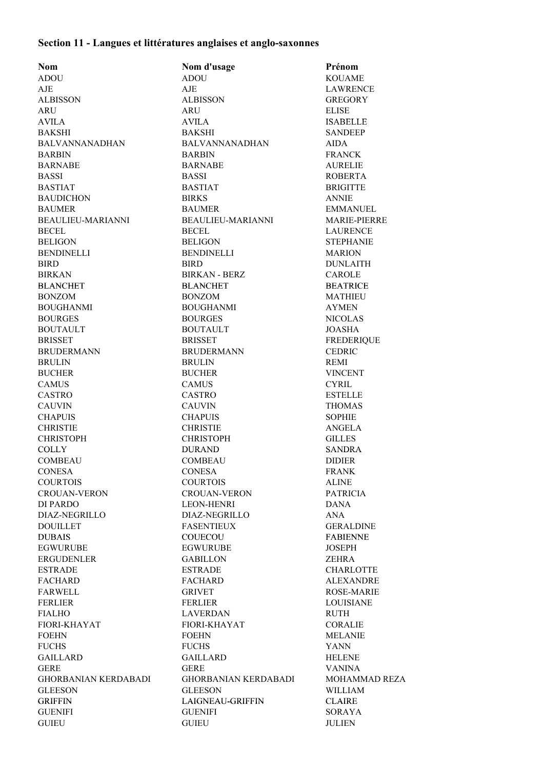## **Section 11 - Langues et littératures anglaises et anglo-saxonnes**

| <b>Nom</b>                  | Nom d'usage                 | Prénom               |
|-----------------------------|-----------------------------|----------------------|
| <b>ADOU</b>                 | <b>ADOU</b>                 | <b>KOUAME</b>        |
| AJE                         | AJE                         | <b>LAWRENCE</b>      |
| <b>ALBISSON</b>             | <b>ALBISSON</b>             | <b>GREGORY</b>       |
| <b>ARU</b>                  | <b>ARU</b>                  | <b>ELISE</b>         |
| <b>AVILA</b>                | <b>AVILA</b>                | <b>ISABELLE</b>      |
| <b>BAKSHI</b>               | <b>BAKSHI</b>               | <b>SANDEEP</b>       |
| <b>BALVANNANADHAN</b>       | <b>BALVANNANADHAN</b>       | <b>AIDA</b>          |
| <b>BARBIN</b>               | <b>BARBIN</b>               | <b>FRANCK</b>        |
| <b>BARNABE</b>              | <b>BARNABE</b>              | <b>AURELIE</b>       |
| <b>BASSI</b>                | <b>BASSI</b>                | <b>ROBERTA</b>       |
| <b>BASTIAT</b>              | <b>BASTIAT</b>              | <b>BRIGITTE</b>      |
| <b>BAUDICHON</b>            | <b>BIRKS</b>                | <b>ANNIE</b>         |
| <b>BAUMER</b>               | <b>BAUMER</b>               | <b>EMMANUEL</b>      |
| BEAULIEU-MARIANNI           | BEAULIEU-MARIANNI           | <b>MARIE-PIERRE</b>  |
| <b>BECEL</b>                | <b>BECEL</b>                | <b>LAURENCE</b>      |
| <b>BELIGON</b>              | <b>BELIGON</b>              | <b>STEPHANIE</b>     |
| <b>BENDINELLI</b>           | BENDINELLI                  | <b>MARION</b>        |
| <b>BIRD</b>                 | <b>BIRD</b>                 | <b>DUNLAITH</b>      |
|                             |                             |                      |
| <b>BIRKAN</b>               | <b>BIRKAN - BERZ</b>        | <b>CAROLE</b>        |
| <b>BLANCHET</b>             | <b>BLANCHET</b>             | <b>BEATRICE</b>      |
| <b>BONZOM</b>               | <b>BONZOM</b>               | <b>MATHIEU</b>       |
| <b>BOUGHANMI</b>            | <b>BOUGHANMI</b>            | <b>AYMEN</b>         |
| <b>BOURGES</b>              | <b>BOURGES</b>              | <b>NICOLAS</b>       |
| <b>BOUTAULT</b>             | <b>BOUTAULT</b>             | <b>JOASHA</b>        |
| <b>BRISSET</b>              | <b>BRISSET</b>              | <b>FREDERIQUE</b>    |
| <b>BRUDERMANN</b>           | <b>BRUDERMANN</b>           | <b>CEDRIC</b>        |
| <b>BRULIN</b>               | <b>BRULIN</b>               | <b>REMI</b>          |
| <b>BUCHER</b>               | <b>BUCHER</b>               | <b>VINCENT</b>       |
| <b>CAMUS</b>                | <b>CAMUS</b>                | <b>CYRIL</b>         |
| <b>CASTRO</b>               | <b>CASTRO</b>               | <b>ESTELLE</b>       |
| <b>CAUVIN</b>               | <b>CAUVIN</b>               | <b>THOMAS</b>        |
| <b>CHAPUIS</b>              | <b>CHAPUIS</b>              | <b>SOPHIE</b>        |
| <b>CHRISTIE</b>             | <b>CHRISTIE</b>             | ANGELA               |
| <b>CHRISTOPH</b>            | <b>CHRISTOPH</b>            | <b>GILLES</b>        |
| <b>COLLY</b>                | <b>DURAND</b>               | <b>SANDRA</b>        |
| <b>COMBEAU</b>              | <b>COMBEAU</b>              | <b>DIDIER</b>        |
| <b>CONESA</b>               | <b>CONESA</b>               | <b>FRANK</b>         |
| <b>COURTOIS</b>             | <b>COURTOIS</b>             | <b>ALINE</b>         |
| <b>CROUAN-VERON</b>         | <b>CROUAN-VERON</b>         | <b>PATRICIA</b>      |
| DI PARDO                    | <b>LEON-HENRI</b>           | <b>DANA</b>          |
| DIAZ-NEGRILLO               | DIAZ-NEGRILLO               | <b>ANA</b>           |
| <b>DOUILLET</b>             | <b>FASENTIEUX</b>           | <b>GERALDINE</b>     |
| <b>DUBAIS</b>               | COUECOU                     | <b>FABIENNE</b>      |
| <b>EGWURUBE</b>             | <b>EGWURUBE</b>             | <b>JOSEPH</b>        |
| ERGUDENLER                  | <b>GABILLON</b>             | <b>ZEHRA</b>         |
| <b>ESTRADE</b>              | <b>ESTRADE</b>              | <b>CHARLOTTE</b>     |
| <b>FACHARD</b>              | <b>FACHARD</b>              | <b>ALEXANDRE</b>     |
| <b>FARWELL</b>              | <b>GRIVET</b>               | <b>ROSE-MARIE</b>    |
| <b>FERLIER</b>              | <b>FERLIER</b>              | <b>LOUISIANE</b>     |
| <b>FIALHO</b>               | <b>LAVERDAN</b>             | <b>RUTH</b>          |
| FIORI-KHAYAT                | FIORI-KHAYAT                | <b>CORALIE</b>       |
|                             |                             |                      |
| <b>FOEHN</b>                | <b>FOEHN</b>                | <b>MELANIE</b>       |
| <b>FUCHS</b>                | <b>FUCHS</b>                | <b>YANN</b>          |
| <b>GAILLARD</b>             | <b>GAILLARD</b>             | <b>HELENE</b>        |
| <b>GERE</b>                 | <b>GERE</b>                 | <b>VANINA</b>        |
| <b>GHORBANIAN KERDABADI</b> | <b>GHORBANIAN KERDABADI</b> | <b>MOHAMMAD REZA</b> |
| <b>GLEESON</b>              | <b>GLEESON</b>              | <b>WILLIAM</b>       |
| <b>GRIFFIN</b>              | LAIGNEAU-GRIFFIN            | <b>CLAIRE</b>        |
| <b>GUENIFI</b>              | <b>GUENIFI</b>              | SORAYA               |
| <b>GUIEU</b>                | <b>GUIEU</b>                | <b>JULIEN</b>        |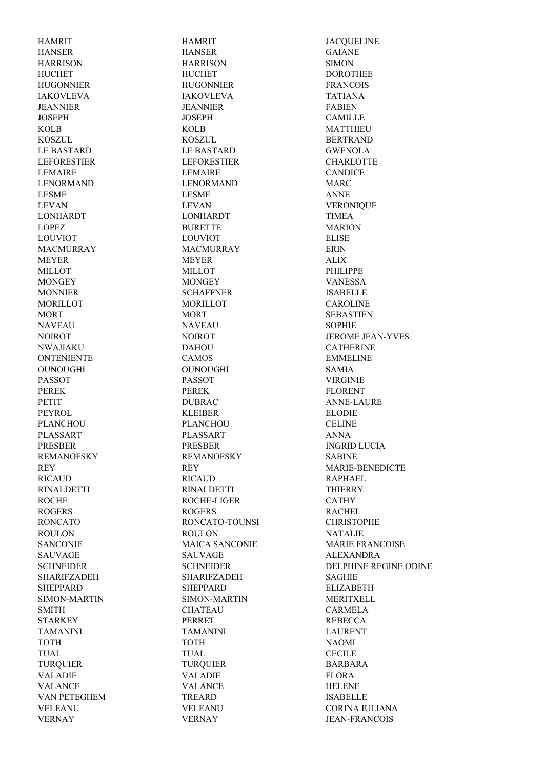HAMRIT HAMRIT JACQUELINE HANSER HANSER GAIANE HARRISON HARRISON SIMON HUCHET HUCHET DOROTHEE HUGONNIER HUGONNIER FRANCOIS IAKOVLEVA IAKOVLEVA TATIANA JEANNIER JEANNIER FABIEN JOSEPH JOSEPH CAMILLE KOLB KOLB MATTHIEU KOSZUL KOSZUL BERTRAND LE BASTARD LE BASTARD GWENOLA LEFORESTIER LEFORESTIER CHARLOTTE LEMAIRE LEMAIRE CANDICE LENORMAND LENORMAND MARC LESME LESME ANNE LEVAN LEVAN VERONIQUE LEVAN LONHARDT LONHARDT TIMEA LOPEZ BURETTE MARION LOUVIOT LOUVIOT ELISE MACMURRAY MACMURRAY ERIN MEYER MEYER ALIX MILLOT MILLOT PHILIPPE MONGEY MONGEY MONGEY VANESSA MONNIER SCHAFFNER ISABELLE MORILLOT MORILLOT CAROLINE MORT MORT SEBASTIEN NAVEAU NAVEAU SOPHIE NWAJIAKU DAHOU CATHERINE ONTENIENTE CAMOS EMMELINE OUNOUGHI OUNOUGHI SAMIA PASSOT PASSOT VIRGINIE PEREK FLORENT PETIT DUBRAC ANNE-LAURE PEYROL KLEIBER ELODIE PLANCHOU PLANCHOU CELINE PLASSART PLASSART ANNA PRESBER PRESBER INGRID LUCIA REMANOFSKY REMANOFSKY SABINE RICAUD RICAUD RAPHAEL RINALDETTI RINALDETTI THIERRY ROCHE ROCHE-LIGER CATHY ROGERS ROGERS ROGERS RACHEL RONCATO RONCATO-TOUNSI CHRISTOPHE ROULON ROULON ROULON NATALIE SAUVAGE SAUVAGE ALEXANDRA SHARIFZADEH SHARIFZADEH SAGHIE SHEPPARD SHEPPARD ELIZABETH SIMON-MARTIN SIMON-MARTIN MERITXELL SMITH CHATEAU CARMELA STARKEY PERRET REBECCA TAMANINI TAMANINI LAURENT TOTH TOTH NAOMI TUAL TUAL CECILE TURQUIER TURQUIER BARBARA VALADIE VALADIE FLORA VALANCE VALANCE HELENE VAN PETEGHEM TREARD TREARD ISABELLE VERNAY VERNAY JEAN-FRANCOIS

NOIROT NOIROT NOIROT JEROME JEAN-YVES REY REY MARIE-BENEDICTE SANCONIE MAICA SANCONIE MARIE FRANCOISE SCHNEIDER SCHNEIDER DELPHINE REGINE ODINE VELEANU VELEANU CORINA IULIANA